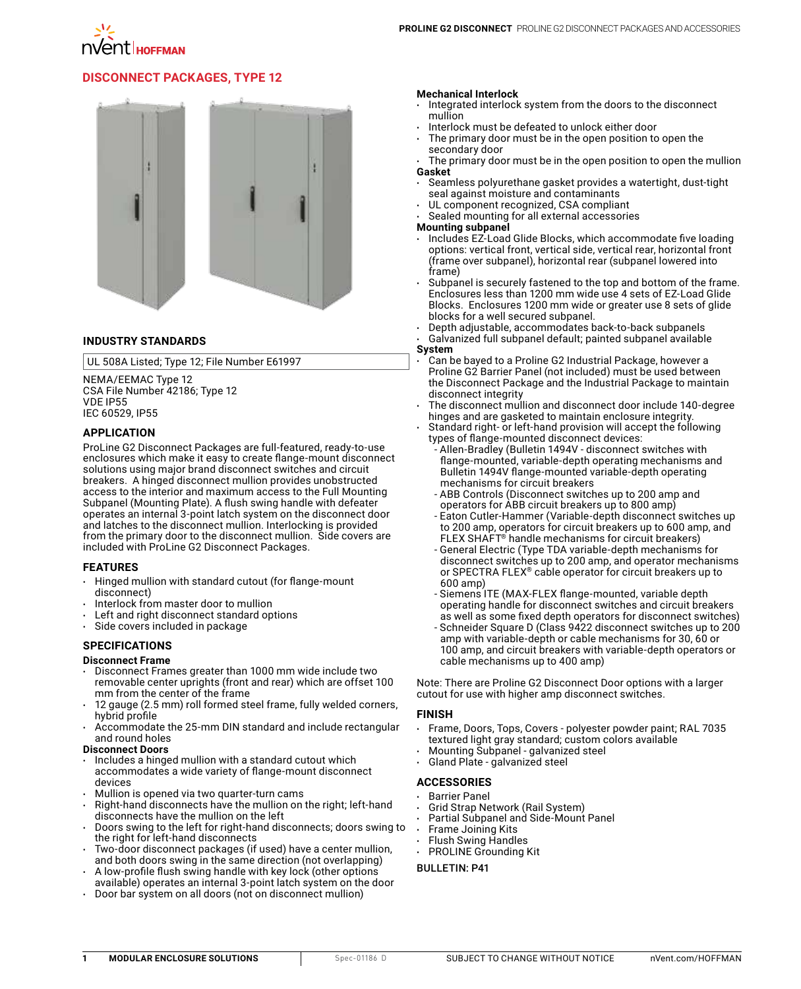

# **[Disconnect Packages, Type 12](http://hoffman.nvent.com/en/hoffman/proline-g2-disconnect-packages-type-12-427245)**



## **INDUSTRY STANDARDS**

UL 508A Listed; Type 12; File Number E61997

NEMA/EEMAC Type 12 CSA File Number 42186; Type 12 VDE IP55 IEC 60529, IP55

## **APPLICATION**

ProLine G2 Disconnect Packages are full-featured, ready-to-use enclosures which make it easy to create flange-mount disconnect solutions using major brand disconnect switches and circuit breakers. A hinged disconnect mullion provides unobstructed access to the interior and maximum access to the Full Mounting Subpanel (Mounting Plate). A flush swing handle with defeater operates an internal 3-point latch system on the disconnect door and latches to the disconnect mullion. Interlocking is provided from the primary door to the disconnect mullion. Side covers are included with ProLine G2 Disconnect Packages.

#### **FEATURES**

- Hinged mullion with standard cutout (for flange-mount disconnect)
- Interlock from master door to mullion
- Left and right disconnect standard options
- Side covers included in package

## **SPECIFICATIONS**

#### **Disconnect Frame**

- Disconnect Frames greater than 1000 mm wide include two removable center uprights (front and rear) which are offset 100 mm from the center of the frame
- 12 gauge (2.5 mm) roll formed steel frame, fully welded corners, hybrid profile
- Accommodate the 25-mm DIN standard and include rectangular and round holes

## **Disconnect Doors**

- Includes a hinged mullion with a standard cutout which accommodates a wide variety of flange-mount disconnect devices
- Mullion is opened via two quarter-turn cams
- Right-hand disconnects have the mullion on the right; left-hand disconnects have the mullion on the left
- Doors swing to the left for right-hand disconnects; doors swing to the right for left-hand disconnects
- Two-door disconnect packages (if used) have a center mullion, and both doors swing in the same direction (not overlapping)
- A low-profile flush swing handle with key lock (other options available) operates an internal 3-point latch system on the door
- Door bar system on all doors (not on disconnect mullion)

#### **Mechanical Interlock**

- Integrated interlock system from the doors to the disconnect mullion
- Interlock must be defeated to unlock either door
- The primary door must be in the open position to open the secondary door
- The primary door must be in the open position to open the mullion **Gasket**
- Seamless polyurethane gasket provides a watertight, dust-tight seal against moisture and contaminants
- UL component recognized, CSA compliant
- Sealed mounting for all external accessories

## **Mounting subpanel**

- Includes EZ-Load Glide Blocks, which accommodate five loading options: vertical front, vertical side, vertical rear, horizontal front (frame over subpanel), horizontal rear (subpanel lowered into frame)
- Subpanel is securely fastened to the top and bottom of the frame. Enclosures less than 1200 mm wide use 4 sets of EZ-Load Glide Blocks. Enclosures 1200 mm wide or greater use 8 sets of glide blocks for a well secured subpanel.
- Depth adjustable, accommodates back-to-back subpanels
- Galvanized full subpanel default; painted subpanel available **System**
- Can be bayed to a Proline G2 Industrial Package, however a Proline G2 Barrier Panel (not included) must be used between the Disconnect Package and the Industrial Package to maintain disconnect integrity
- The disconnect mullion and disconnect door include 140-degree hinges and are gasketed to maintain enclosure integrity.
- Standard right- or left-hand provision will accept the following types of flange-mounted disconnect devices:
	- Allen-Bradley (Bulletin 1494V disconnect switches with flange-mounted, variable-depth operating mechanisms and Bulletin 1494V flange-mounted variable-depth operating mechanisms for circuit breakers
	- ABB Controls (Disconnect switches up to 200 amp and operators for ABB circuit breakers up to 800 amp)
	- Eaton Cutler-Hammer (Variable-depth disconnect switches up
	- to 200 amp, operators for circuit breakers up to 600 amp, and
	- FLEX SHAFT® handle mechanisms for circuit breakers) - General Electric (Type TDA variable-depth mechanisms for disconnect switches up to 200 amp, and operator mechanisms or SPECTRA FLEX® cable operator for circuit breakers up to 600 amp)
	- Siemens ITE (MAX-FLEX flange-mounted, variable depth operating handle for disconnect switches and circuit breakers as well as some fixed depth operators for disconnect switches) - Schneider Square D (Class 9422 disconnect switches up to 200 amp with variable-depth or cable mechanisms for 30, 60 or 100 amp, and circuit breakers with variable-depth operators or cable mechanisms up to 400 amp)

Note: There are Proline G2 Disconnect Door options with a larger cutout for use with higher amp disconnect switches.

#### **FINISH**

- Frame, Doors, Tops, Covers polyester powder paint; RAL 7035 textured light gray standard; custom colors available
- Mounting Subpanel galvanized steel
- Gland Plate galvanized steel

## **ACCESSORIES**

### • Barrier Panel

- Grid Strap Network (Rail System)
- Partial Subpanel and Side-Mount Panel
	- Frame Joining Kits
	- Flush Swing Handles
- PROLINE Grounding Kit

#### **BULLETIN: P41**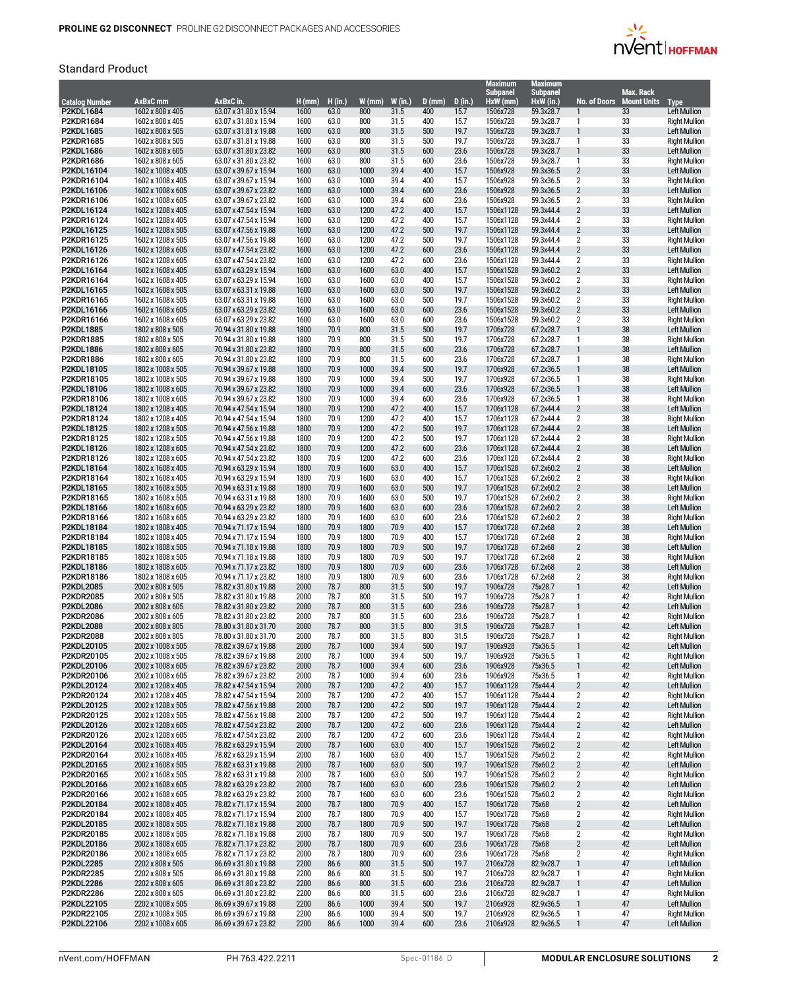

## Standard Product

|                                |                                        |                                                |              |              |              |              |            |              | Maximum<br><b>Subpanel</b> | <b>Maximum</b><br><b>Subpanel</b> |                                 | Max. Rack |                                             |
|--------------------------------|----------------------------------------|------------------------------------------------|--------------|--------------|--------------|--------------|------------|--------------|----------------------------|-----------------------------------|---------------------------------|-----------|---------------------------------------------|
| <b>Catalog Number</b>          | AxBxC mm                               | AxBxC in.                                      | $H$ (mm)     | H (in.)      | $W$ (mm)     | W (in.)      | $D$ (mm)   | D (in.)      | HxW (mm)                   | HxW (in.)                         | <b>No. of Doors Mount Units</b> |           | <b>Type</b>                                 |
| <b>P2KDL1684</b>               | 1602 x 808 x 405                       | 63.07 x 31.80 x 15.94                          | 1600         | 63.0         | 800          | 31.5         | 400        | 15.7         | 1506x728                   | 59.3x28.7                         | 1                               | 33        | Left Mullion                                |
| P2KDR1684                      | 1602 x 808 x 405                       | 63.07 x 31.80 x 15.94                          | 1600         | 63.0         | 800          | 31.5         | 400        | 15.7         | 1506x728                   | 59.3x28.7                         | 1                               | 33        | <b>Right Mullion</b>                        |
| <b>P2KDL1685</b>               | 1602 x 808 x 505                       | 63.07 x 31.81 x 19.88                          | 1600         | 63.0         | 800          | 31.5         | 500        | 19.7         | 1506x728                   | 59.3x28.7                         | 1                               | 33        | <b>Left Mullion</b>                         |
| P2KDR1685                      | 1602 x 808 x 505                       | 63.07 x 31.81 x 19.88                          | 1600         | 63.0         | 800          | 31.5         | 500        | 19.7         | 1506x728                   | 59.3x28.7                         | 1                               | 33        | <b>Right Mullion</b>                        |
| <b>P2KDL1686</b>               | 1602 x 808 x 605                       | 63.07 x 31.80 x 23.82                          | 1600         | 63.0         | 800<br>800   | 31.5         | 600<br>600 | 23.6<br>23.6 | 1506x728<br>1506x728       | 59.3x28.7                         | $\mathbf{1}$<br>1               | 33<br>33  | <b>Left Mullion</b>                         |
| P2KDR1686<br>P2KDL16104        | 1602 x 808 x 605<br>1602 x 1008 x 405  | 63.07 x 31.80 x 23.82<br>63.07 x 39.67 x 15.94 | 1600<br>1600 | 63.0<br>63.0 | 1000         | 31.5<br>39.4 | 400        | 15.7         | 1506x928                   | 59.3x28.7<br>59.3x36.5            | $\overline{2}$                  | 33        | <b>Right Mullion</b><br><b>Left Mullion</b> |
| P2KDR16104                     | 1602 x 1008 x 405                      | 63.07 x 39.67 x 15.94                          | 1600         | 63.0         | 1000         | 39.4         | 400        | 15.7         | 1506x928                   | 59.3x36.5                         | 2                               | 33        | <b>Right Mullion</b>                        |
| P2KDL16106                     | 1602 x 1008 x 605                      | 63.07 x 39.67 x 23.82                          | 1600         | 63.0         | 1000         | 39.4         | 600        | 23.6         | 1506x928                   | 59.3x36.5                         | $\overline{2}$                  | 33        | <b>Left Mullion</b>                         |
| P2KDR16106                     | 1602 x 1008 x 605                      | 63.07 x 39.67 x 23.82                          | 1600         | 63.0         | 1000         | 39.4         | 600        | 23.6         | 1506x928                   | 59.3x36.5                         | 2                               | 33        | <b>Right Mullion</b>                        |
| P2KDL16124                     | 1602 x 1208 x 405                      | 63.07 x 47.54 x 15.94                          | 1600         | 63.0         | 1200         | 47.2         | 400        | 15.7         | 1506x1128                  | 59.3x44.4                         | $\overline{2}$                  | 33        | <b>Left Mullion</b>                         |
| P2KDR16124                     | 1602 x 1208 x 405                      | 63.07 x 47.54 x 15.94                          | 1600         | 63.0         | 1200         | 47.2         | 400        | 15.7         | 1506x1128                  | 59.3x44.4                         | 2                               | 33        | <b>Right Mullion</b>                        |
| P2KDL16125                     | 1602 x 1208 x 505                      | 63.07 x 47.56 x 19.88                          | 1600         | 63.0         | 1200         | 47.2         | 500        | 19.7         | 1506x1128                  | 59.3x44.4                         | $\overline{2}$                  | 33        | <b>Left Mullion</b>                         |
| P2KDR16125<br>P2KDL16126       | 1602 x 1208 x 505<br>1602 x 1208 x 605 | 63.07 x 47.56 x 19.88<br>63.07 x 47.54 x 23.82 | 1600<br>1600 | 63.0<br>63.0 | 1200<br>1200 | 47.2<br>47.2 | 500<br>600 | 19.7<br>23.6 | 1506x1128<br>1506x1128     | 59.3x44.4<br>59.3x44.4            | 2<br>$\overline{2}$             | 33<br>33  | <b>Right Mullion</b><br><b>Left Mullion</b> |
| P2KDR16126                     | 1602 x 1208 x 605                      | 63.07 x 47.54 x 23.82                          | 1600         | 63.0         | 1200         | 47.2         | 600        | 23.6         | 1506x1128                  | 59.3x44.4                         | 2                               | 33        | <b>Right Mullion</b>                        |
| P2KDL16164                     | 1602 x 1608 x 405                      | 63.07 x 63.29 x 15.94                          | 1600         | 63.0         | 1600         | 63.0         | 400        | 15.7         | 1506x1528                  | 59.3x60.2                         | $\overline{2}$                  | 33        | <b>Left Mullion</b>                         |
| P2KDR16164                     | 1602 x 1608 x 405                      | 63.07 x 63.29 x 15.94                          | 1600         | 63.0         | 1600         | 63.0         | 400        | 15.7         | 1506x1528                  | 59.3x60.2                         | 2                               | 33        | <b>Right Mullion</b>                        |
| P2KDL16165                     | 1602 x 1608 x 505                      | 63.07 x 63.31 x 19.88                          | 1600         | 63.0         | 1600         | 63.0         | 500        | 19.7         | 1506x1528                  | 59.3x60.2                         | 2                               | 33        | <b>Left Mullion</b>                         |
| P2KDR16165                     | 1602 x 1608 x 505                      | 63.07 x 63.31 x 19.88                          | 1600         | 63.0         | 1600         | 63.0         | 500        | 19.7         | 1506x1528                  | 59.3x60.2                         | 2                               | 33        | <b>Right Mullion</b>                        |
| P2KDL16166                     | 1602 x 1608 x 605                      | 63.07 x 63.29 x 23.82                          | 1600         | 63.0         | 1600         | 63.0         | 600        | 23.6         | 1506x1528                  | 59.3x60.2                         | $\overline{2}$                  | 33        | <b>Left Mullion</b>                         |
| P2KDR16166                     | 1602 x 1608 x 605                      | 63.07 x 63.29 x 23.82                          | 1600         | 63.0         | 1600         | 63.0         | 600        | 23.6         | 1506x1528                  | 59.3x60.2                         | 2                               | 33        | <b>Right Mullion</b>                        |
| P2KDL1885<br><b>P2KDR1885</b>  | 1802 x 808 x 505<br>1802 x 808 x 505   | 70.94 x 31.80 x 19.88<br>70.94 x 31.80 x 19.88 | 1800<br>1800 | 70.9<br>70.9 | 800<br>800   | 31.5<br>31.5 | 500<br>500 | 19.7<br>19.7 | 1706x728<br>1706x728       | 67.2x28.7<br>67.2x28.7            | 1<br>$\mathbf{1}$               | 38<br>38  | <b>Left Mullion</b><br><b>Right Mullion</b> |
| <b>P2KDL1886</b>               | 1802 x 808 x 605                       | 70.94 x 31.80 x 23.82                          | 1800         | 70.9         | 800          | 31.5         | 600        | 23.6         | 1706x728                   | 67.2x28.7                         | 1                               | 38        | <b>Left Mullion</b>                         |
| <b>P2KDR1886</b>               | 1802 x 808 x 605                       | 70.94 x 31.80 x 23.82                          | 1800         | 70.9         | 800          | 31.5         | 600        | 23.6         | 1706x728                   | 67.2x28.7                         | 1                               | 38        | <b>Right Mullion</b>                        |
| P2KDL18105                     | 1802 x 1008 x 505                      | 70.94 x 39.67 x 19.88                          | 1800         | 70.9         | 1000         | 39.4         | 500        | 19.7         | 1706x928                   | 67.2x36.5                         | 1                               | 38        | <b>Left Mullion</b>                         |
| P2KDR18105                     | 1802 x 1008 x 505                      | 70.94 x 39.67 x 19.88                          | 1800         | 70.9         | 1000         | 39.4         | 500        | 19.7         | 1706x928                   | 67.2x36.5                         | $\mathbf{1}$                    | 38        | <b>Right Mullion</b>                        |
| P2KDL18106                     | 1802 x 1008 x 605                      | 70.94 x 39.67 x 23.82                          | 1800         | 70.9         | 1000         | 39.4         | 600        | 23.6         | 1706x928                   | 67.2x36.5                         | 1                               | 38        | <b>Left Mullion</b>                         |
| P2KDR18106                     | 1802 x 1008 x 605                      | 70.94 x 39.67 x 23.82                          | 1800         | 70.9         | 1000         | 39.4         | 600        | 23.6         | 1706x928                   | 67.2x36.5                         | 1                               | 38        | <b>Right Mullion</b>                        |
| P2KDL18124                     | 1802 x 1208 x 405                      | 70.94 x 47.54 x 15.94                          | 1800         | 70.9         | 1200         | 47.2         | 400        | 15.7         | 1706x1128                  | 67.2x44.4                         | $\overline{2}$                  | 38        | <b>Left Mullion</b>                         |
| P2KDR18124<br>P2KDL18125       | 1802 x 1208 x 405<br>1802 x 1208 x 505 | 70.94 x 47.54 x 15.94<br>70.94 x 47.56 x 19.88 | 1800<br>1800 | 70.9<br>70.9 | 1200<br>1200 | 47.2<br>47.2 | 400<br>500 | 15.7<br>19.7 | 1706x1128<br>1706x1128     | 67.2x44.4<br>67.2x44.4            | 2<br>$\overline{2}$             | 38<br>38  | <b>Right Mullion</b><br><b>Left Mullion</b> |
| P2KDR18125                     | 1802 x 1208 x 505                      | 70.94 x 47.56 x 19.88                          | 1800         | 70.9         | 1200         | 47.2         | 500        | 19.7         | 1706x1128                  | 67.2x44.4                         | 2                               | 38        | <b>Right Mullion</b>                        |
| P2KDL18126                     | 1802 x 1208 x 605                      | 70.94 x 47.54 x 23.82                          | 1800         | 70.9         | 1200         | 47.2         | 600        | 23.6         | 1706x1128                  | 67.2x44.4                         | $\overline{2}$                  | 38        | <b>Left Mullion</b>                         |
| P2KDR18126                     | 1802 x 1208 x 605                      | 70.94 x 47.54 x 23.82                          | 1800         | 70.9         | 1200         | 47.2         | 600        | 23.6         | 1706x1128                  | 67.2x44.4                         | 2                               | 38        | <b>Right Mullion</b>                        |
| P2KDL18164                     | 1802 x 1608 x 405                      | 70.94 x 63.29 x 15.94                          | 1800         | 70.9         | 1600         | 63.0         | 400        | 15.7         | 1706x1528                  | 67.2x60.2                         | $\overline{2}$                  | 38        | <b>Left Mullion</b>                         |
| P2KDR18164                     | 1802 x 1608 x 405                      | 70.94 x 63.29 x 15.94                          | 1800         | 70.9         | 1600         | 63.0         | 400        | 15.7         | 1706x1528                  | 67.2x60.2                         | 2                               | 38        | <b>Right Mullion</b>                        |
| P2KDL18165                     | 1802 x 1608 x 505                      | 70.94 x 63.31 x 19.88                          | 1800         | 70.9         | 1600         | 63.0         | 500        | 19.7         | 1706x1528                  | 67.2x60.2                         | $\overline{2}$                  | 38        | <b>Left Mullion</b>                         |
| P2KDR18165                     | 1802 x 1608 x 505                      | 70.94 x 63.31 x 19.88                          | 1800         | 70.9         | 1600         | 63.0         | 500        | 19.7         | 1706x1528                  | 67.2x60.2                         | 2                               | 38        | <b>Right Mullion</b>                        |
| P2KDL18166<br>P2KDR18166       | 1802 x 1608 x 605<br>1802 x 1608 x 605 | 70.94 x 63.29 x 23.82<br>70.94 x 63.29 x 23.82 | 1800<br>1800 | 70.9<br>70.9 | 1600<br>1600 | 63.0<br>63.0 | 600<br>600 | 23.6<br>23.6 | 1706x1528<br>1706x1528     | 67.2x60.2<br>67.2x60.2            | $\overline{2}$<br>2             | 38<br>38  | <b>Left Mullion</b><br><b>Right Mullion</b> |
| P2KDL18184                     | 1802 x 1808 x 405                      | 70.94 x 71.17 x 15.94                          | 1800         | 70.9         | 1800         | 70.9         | 400        | 15.7         | 1706x1728                  | 67.2x68                           | $\overline{2}$                  | 38        | <b>Left Mullion</b>                         |
| P2KDR18184                     | 1802 x 1808 x 405                      | 70.94 x 71.17 x 15.94                          | 1800         | 70.9         | 1800         | 70.9         | 400        | 15.7         | 1706x1728                  | 67.2x68                           | 2                               | 38        | <b>Right Mullion</b>                        |
| P2KDL18185                     | 1802 x 1808 x 505                      | 70.94 x 71.18 x 19.88                          | 1800         | 70.9         | 1800         | 70.9         | 500        | 19.7         | 1706x1728                  | 67.2x68                           | $\overline{2}$                  | 38        | <b>Left Mullion</b>                         |
| P2KDR18185                     | 1802 x 1808 x 505                      | 70.94 x 71.18 x 19.88                          | 1800         | 70.9         | 1800         | 70.9         | 500        | 19.7         | 1706x1728                  | 67.2x68                           | 2                               | 38        | <b>Right Mullion</b>                        |
| P2KDL18186                     | 1802 x 1808 x 605                      | 70.94 x 71.17 x 23.82                          | 1800         | 70.9         | 1800         | 70.9         | 600        | 23.6         | 1706x1728                  | 67.2x68                           | 2                               | 38        | <b>Left Mullion</b>                         |
| P2KDR18186<br><b>P2KDL2085</b> | 1802 x 1808 x 605                      | 70.94 x 71.17 x 23.82<br>78.82 x 31.80 x 19.88 | 1800<br>2000 | 70.9         | 1800<br>800  | 70.9<br>31.5 | 600<br>500 | 23.6<br>19.7 | 1706x1728                  | 67.2x68<br>75x28.7                | 2<br>$\mathbf{1}$               | 38<br>42  | <b>Right Mullion</b>                        |
| <b>P2KDR2085</b>               | 2002 x 808 x 505<br>2002 x 808 x 505   | 78.82 x 31.80 x 19.88                          | 2000         | 78.7<br>78.7 | 800          | 31.5         | 500        | 19.7         | 1906x728<br>1906x728       | 75x28.7                           | 1                               | 42        | <b>Left Mullion</b><br><b>Right Mullion</b> |
| <b>P2KDL2086</b>               | 2002 x 808 x 605                       | 78.82 x 31.80 x 23.82                          | 2000         | 78.7         | 800          | 31.5         | 600        | 23.6         | 1906x728                   | 75x28.7                           | $\mathbf{1}$                    | 42        | <b>Left Mullion</b>                         |
| <b>P2KDR2086</b>               | 2002 x 808 x 605                       | 78.82 x 31.80 x 23.82                          | 2000         | 78.7         | 800          | 31.5         | 600        | 23.6         | 1906x728                   | 75x28.7                           | 1                               | 42        | <b>Right Mullion</b>                        |
| <b>P2KDL2088</b>               | 2002 x 808 x 805                       | 78.80 x 31.80 x 31.70                          | 2000         | 78.7         | 800          | 31.5         | 800        | 31.5         | 1906x728                   | 75x28.7                           | $\mathbf{1}$                    | 42        | <b>Left Mullion</b>                         |
| <b>P2KDR2088</b>               | 2002 x 808 x 805                       | 78.80 x 31.80 x 31.70                          | 2000         | 78.7         | 800          | 31.5         | 800        | 31.5         | 1906x728                   | 75x28.7                           | 1                               | 42        | <b>Right Mullion</b>                        |
| P2KDL20105                     | 2002 x 1008 x 505                      | 78.82 x 39.67 x 19.88                          | 2000         | 78.7         | 1000         | 39.4         | 500        | 19.7         | 1906x928                   | 75x36.5                           | $\mathbf{1}$                    | 42        | <b>Left Mullion</b>                         |
| P2KDR20105                     | 2002 x 1008 x 505                      | 78.82 x 39.67 x 19.88                          | 2000         | 78.7         | 1000         | 39.4         | 500        | 19.7         | 1906x928                   | 75x36.5                           | 1                               | 42        | <b>Right Mullion</b>                        |
| P2KDL20106<br>P2KDR20106       | 2002 x 1008 x 605<br>2002 x 1008 x 605 | 78.82 x 39.67 x 23.82<br>78.82 x 39.67 x 23.82 | 2000<br>2000 | 78.7<br>78.7 | 1000<br>1000 | 39.4<br>39.4 | 600<br>600 | 23.6<br>23.6 | 1906x928<br>1906x928       | 75x36.5<br>75x36.5                | 1<br>1                          | 42<br>42  | Left Mullion<br><b>Right Mullion</b>        |
| P2KDL20124                     | 2002 x 1208 x 405                      | 78.82 x 47.54 x 15.94                          | 2000         | 78.7         | 1200         | 47.2         | 400        | 15.7         | 1906x1128                  | 75x44.4                           | $\overline{\mathbf{c}}$         | 42        | Left Mullion                                |
| P2KDR20124                     | 2002 x 1208 x 405                      | 78.82 x 47.54 x 15.94                          | 2000         | 78.7         | 1200         | 47.2         | 400        | 15.7         | 1906x1128                  | 75x44.4                           | $\overline{2}$                  | 42        | <b>Right Mullion</b>                        |
| P2KDL20125                     | 2002 x 1208 x 505                      | 78.82 x 47.56 x 19.88                          | 2000         | 78.7         | 1200         | 47.2         | 500        | 19.7         | 1906x1128                  | 75x44.4                           | $\overline{\mathbf{c}}$         | 42        | Left Mullion                                |
| P2KDR20125                     | 2002 x 1208 x 505                      | 78.82 x 47.56 x 19.88                          | 2000         | 78.7         | 1200         | 47.2         | 500        | 19.7         | 1906x1128                  | 75x44.4                           | 2                               | 42        | <b>Right Mullion</b>                        |
| P2KDL20126                     | 2002 x 1208 x 605                      | 78.82 x 47.54 x 23.82                          | 2000         | 78.7         | 1200         | 47.2         | 600        | 23.6         | 1906x1128                  | 75x44.4                           | $\overline{2}$                  | 42        | Left Mullion                                |
| P2KDR20126                     | 2002 x 1208 x 605                      | 78.82 x 47.54 x 23.82                          | 2000         | 78.7         | 1200         | 47.2         | 600        | 23.6         | 1906x1128                  | 75x44.4                           | $\overline{2}$                  | 42        | <b>Right Mullion</b>                        |
| P2KDL20164<br>P2KDR20164       | 2002 x 1608 x 405<br>2002 x 1608 x 405 | 78.82 x 63.29 x 15.94<br>78.82 x 63.29 x 15.94 | 2000         | 78.7<br>78.7 | 1600         | 63.0         | 400<br>400 | 15.7         | 1906x1528<br>1906x1528     | 75x60.2<br>75x60.2                | $\overline{2}$                  | 42        | Left Mullion<br><b>Right Mullion</b>        |
| P2KDL20165                     | 2002 x 1608 x 505                      | 78.82 x 63.31 x 19.88                          | 2000<br>2000 | 78.7         | 1600<br>1600 | 63.0<br>63.0 | 500        | 15.7<br>19.7 | 1906x1528                  | 75x60.2                           | 2<br>$\overline{2}$             | 42<br>42  | Left Mullion                                |
| P2KDR20165                     | 2002 x 1608 x 505                      | 78.82 x 63.31 x 19.88                          | 2000         | 78.7         | 1600         | 63.0         | 500        | 19.7         | 1906x1528                  | 75x60.2                           | 2                               | 42        | <b>Right Mullion</b>                        |
| P2KDL20166                     | 2002 x 1608 x 605                      | 78.82 x 63.29 x 23.82                          | 2000         | 78.7         | 1600         | 63.0         | 600        | 23.6         | 1906x1528                  | 75x60.2                           | $\overline{2}$                  | 42        | Left Mullion                                |
| P2KDR20166                     | 2002 x 1608 x 605                      | 78.82 x 63.29 x 23.82                          | 2000         | 78.7         | 1600         | 63.0         | 600        | 23.6         | 1906x1528                  | 75x60.2                           | 2                               | 42        | <b>Right Mullion</b>                        |
| P2KDL20184                     | 2002 x 1808 x 405                      | 78.82 x 71.17 x 15.94                          | 2000         | 78.7         | 1800         | 70.9         | 400        | 15.7         | 1906x1728                  | 75x68                             | $\overline{\mathbf{c}}$         | 42        | Left Mullion                                |
| P2KDR20184                     | 2002 x 1808 x 405                      | 78.82 x 71.17 x 15.94                          | 2000         | 78.7         | 1800         | 70.9         | 400        | 15.7         | 1906x1728                  | 75x68                             | 2                               | 42        | <b>Right Mullion</b>                        |
| P2KDL20185                     | 2002 x 1808 x 505                      | 78.82 x 71.18 x 19.88                          | 2000         | 78.7         | 1800         | 70.9         | 500        | 19.7         | 1906x1728                  | 75x68                             | $\overline{2}$                  | 42        | Left Mullion                                |
| P2KDR20185<br>P2KDL20186       | 2002 x 1808 x 505<br>2002 x 1808 x 605 | 78.82 x 71.18 x 19.88<br>78.82 x 71.17 x 23.82 | 2000<br>2000 | 78.7<br>78.7 | 1800<br>1800 | 70.9<br>70.9 | 500<br>600 | 19.7<br>23.6 | 1906x1728<br>1906x1728     | 75x68<br>75x68                    | 2<br>$\overline{2}$             | 42<br>42  | <b>Right Mullion</b><br>Left Mullion        |
| P2KDR20186                     | 2002 x 1808 x 605                      | 78.82 x 71.17 x 23.82                          | 2000         | 78.7         | 1800         | 70.9         | 600        | 23.6         | 1906x1728                  | 75x68                             | 2                               | 42        | <b>Right Mullion</b>                        |
| <b>P2KDL2285</b>               | 2202 x 808 x 505                       | 86.69 x 31.80 x 19.88                          | 2200         | 86.6         | 800          | 31.5         | 500        | 19.7         | 2106x728                   | 82.9x28.7                         | 1                               | 47        | Left Mullion                                |
| <b>P2KDR2285</b>               | 2202 x 808 x 505                       | 86.69 x 31.80 x 19.88                          | 2200         | 86.6         | 800          | 31.5         | 500        | 19.7         | 2106x728                   | 82.9x28.7                         | 1                               | 47        | <b>Right Mullion</b>                        |
| <b>P2KDL2286</b>               | 2202 x 808 x 605                       | 86.69 x 31.80 x 23.82                          | 2200         | 86.6         | 800          | 31.5         | 600        | 23.6         | 2106x728                   | 82.9x28.7                         | 1                               | 47        | <b>Left Mullion</b>                         |
| <b>P2KDR2286</b>               | 2202 x 808 x 605                       | 86.69 x 31.80 x 23.82                          | 2200         | 86.6         | 800          | 31.5         | 600        | 23.6         | 2106x728                   | 82.9x28.7                         | 1                               | 47        | <b>Right Mullion</b>                        |
| P2KDL22105                     | 2202 x 1008 x 505                      | 86.69 x 39.67 x 19.88                          | 2200         | 86.6         | 1000         | 39.4         | 500        | 19.7         | 2106x928                   | 82.9x36.5                         | 1                               | 47        | Left Mullion                                |
| P2KDR22105                     | 2202 x 1008 x 505                      | 86.69 x 39.67 x 19.88                          | 2200         | 86.6         | 1000         | 39.4         | 500        | 19.7         | 2106x928                   | 82.9x36.5                         | $\mathbf{1}$                    | 47        | <b>Right Mullion</b>                        |
| P2KDL22106                     | 2202 x 1008 x 605                      | 86.69 x 39.67 x 23.82                          | 2200         | 86.6         | 1000         | 39.4         | 600        | 23.6         | 2106x928                   | 82.9x36.5                         | 1                               | 47        | <b>Left Mullion</b>                         |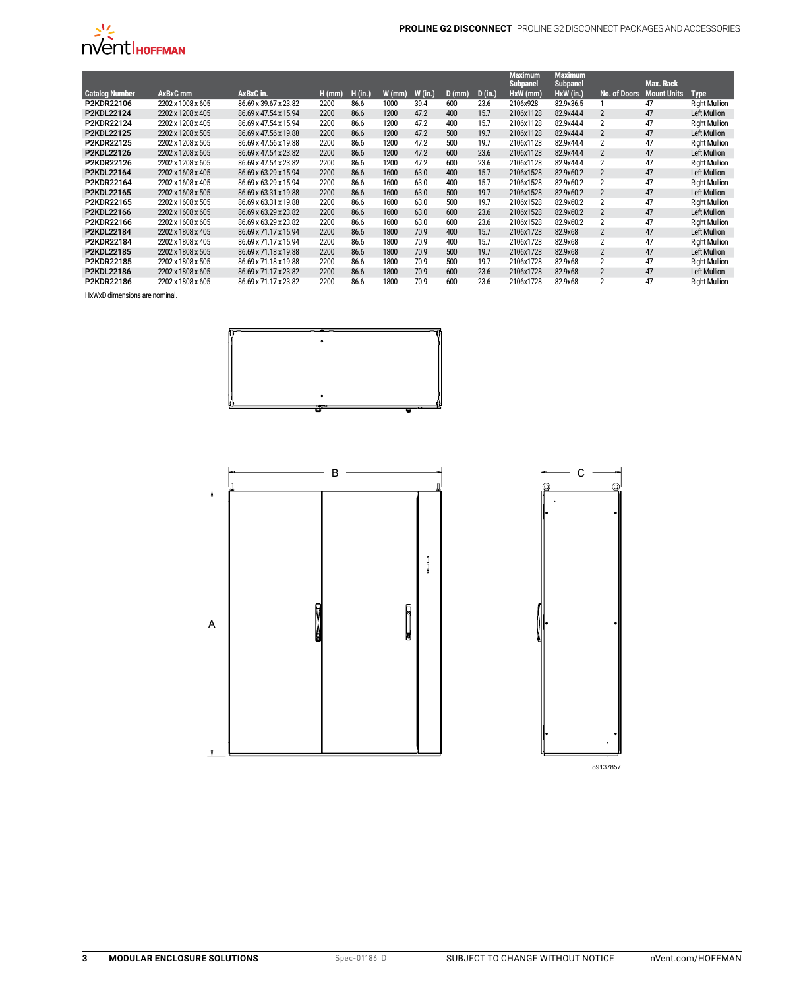

|                       |                   |                       |          |         |          |         |          |         | Maximum<br><b>Subpanel</b> | <b>Maximum</b><br><b>Subpanel</b> |                         | Max. Rack          |                      |
|-----------------------|-------------------|-----------------------|----------|---------|----------|---------|----------|---------|----------------------------|-----------------------------------|-------------------------|--------------------|----------------------|
| <b>Catalog Number</b> | AxBxC mm          | AxBxC in.             | $H$ (mm) | H (in.) | $W$ (mm) | W (in.) | $D$ (mm) | D (in.) | HxW (mm)                   | HxW (in.)                         | No. of Doors            | <b>Mount Units</b> | <b>Type</b>          |
| P2KDR22106            | 2202 x 1008 x 605 | 86.69 x 39.67 x 23.82 | 2200     | 86.6    | 1000     | 39.4    | 600      | 23.6    | 2106x928                   | 82.9x36.5                         |                         | 47                 | <b>Right Mullion</b> |
| P2KDL22124            | 2202 x 1208 x 405 | 86.69 x 47.54 x 15.94 | 2200     | 86.6    | 1200     | 47.2    | 400      | 15.7    | 2106x1128                  | 82.9x44.4                         | $\overline{2}$          | 47                 | Left Mullion         |
| P2KDR22124            | 2202 x 1208 x 405 | 86.69 x 47.54 x 15.94 | 2200     | 86.6    | 1200     | 47.2    | 400      | 15.7    | 2106x1128                  | 82.9x44.4                         | 2                       | 47                 | <b>Right Mullion</b> |
| P2KDL22125            | 2202 x 1208 x 505 | 86.69 x 47.56 x 19.88 | 2200     | 86.6    | 1200     | 47.2    | 500      | 19.7    | 2106x1128                  | 82.9x44.4                         | $\overline{2}$          | 47                 | Left Mullion         |
| P2KDR22125            | 2202 x 1208 x 505 | 86.69 x 47.56 x 19.88 | 2200     | 86.6    | 1200     | 47.2    | 500      | 19.7    | 2106x1128                  | 82.9x44.4                         | 2                       | 47                 | <b>Right Mullion</b> |
| P2KDL22126            | 2202 x 1208 x 605 | 86.69 x 47.54 x 23.82 | 2200     | 86.6    | 1200     | 47.2    | 600      | 23.6    | 2106x1128                  | 82.9x44.4                         | $\overline{2}$          | 47                 | Left Mullion         |
| P2KDR22126            | 2202 x 1208 x 605 | 86.69 x 47.54 x 23.82 | 2200     | 86.6    | 1200     | 47.2    | 600      | 23.6    | 2106x1128                  | 82.9x44.4                         | $\overline{2}$          | 47                 | <b>Right Mullion</b> |
| P2KDL22164            | 2202 x 1608 x 405 | 86.69 x 63.29 x 15.94 | 2200     | 86.6    | 1600     | 63.0    | 400      | 15.7    | 2106x1528                  | 82.9x60.2                         | $\overline{2}$          | 47                 | Left Mullion         |
| P2KDR22164            | 2202 x 1608 x 405 | 86.69 x 63.29 x 15.94 | 2200     | 86.6    | 1600     | 63.0    | 400      | 15.7    | 2106x1528                  | 82.9x60.2                         | $\overline{2}$          | 47                 | <b>Right Mullion</b> |
| P2KDL22165            | 2202 x 1608 x 505 | 86.69 x 63.31 x 19.88 | 2200     | 86.6    | 1600     | 63.0    | 500      | 19.7    | 2106x1528                  | 82.9x60.2                         | $\overline{2}$          | 47                 | Left Mullion         |
| P2KDR22165            | 2202 x 1608 x 505 | 86.69 x 63.31 x 19.88 | 2200     | 86.6    | 1600     | 63.0    | 500      | 19.7    | 2106x1528                  | 82.9x60.2                         | $\overline{\mathbf{c}}$ | 47                 | <b>Right Mullion</b> |
| P2KDL22166            | 2202 x 1608 x 605 | 86.69 x 63.29 x 23.82 | 2200     | 86.6    | 1600     | 63.0    | 600      | 23.6    | 2106x1528                  | 82.9x60.2                         | $\overline{2}$          | 47                 | Left Mullion         |
| P2KDR22166            | 2202 x 1608 x 605 | 86.69 x 63.29 x 23.82 | 2200     | 86.6    | 1600     | 63.0    | 600      | 23.6    | 2106x1528                  | 82.9x60.2                         | 2                       | 47                 | <b>Right Mullion</b> |
| P2KDL22184            | 2202 x 1808 x 405 | 86.69 x 71.17 x 15.94 | 2200     | 86.6    | 1800     | 70.9    | 400      | 15.7    | 2106x1728                  | 82.9x68                           | $\overline{2}$          | 47                 | Left Mullion         |
| P2KDR22184            | 2202 x 1808 x 405 | 86.69 x 71.17 x 15.94 | 2200     | 86.6    | 1800     | 70.9    | 400      | 15.7    | 2106x1728                  | 82.9x68                           | 2                       | 47                 | <b>Right Mullion</b> |
| P2KDL22185            | 2202 x 1808 x 505 | 86.69 x 71.18 x 19.88 | 2200     | 86.6    | 1800     | 70.9    | 500      | 19.7    | 2106x1728                  | 82.9x68                           | $\overline{2}$          | 47                 | Left Mullion         |
| P2KDR22185            | 2202 x 1808 x 505 | 86.69 x 71.18 x 19.88 | 2200     | 86.6    | 1800     | 70.9    | 500      | 19.7    | 2106x1728                  | 82.9x68                           | $\overline{2}$          | 47                 | <b>Right Mullion</b> |
| P2KDL22186            | 2202 x 1808 x 605 | 86.69 x 71.17 x 23.82 | 2200     | 86.6    | 1800     | 70.9    | 600      | 23.6    | 2106x1728                  | 82.9x68                           | $\overline{2}$          | 47                 | Left Mullion         |
| P2KDR22186            | 2202 x 1808 x 605 | 86.69 x 71.17 x 23.82 | 2200     | 86.6    | 1800     | 70.9    | 600      | 23.6    | 2106x1728                  | 82.9x68                           | $\overline{2}$          | 47                 | <b>Right Mullion</b> |

HxWxD dimensions are nominal.







89137857